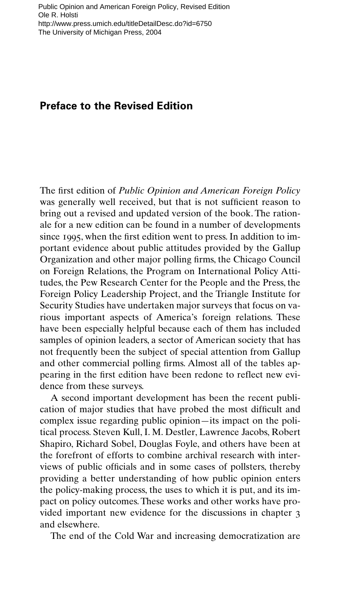## **Preface to the Revised Edition**

The first edition of *Public Opinion and American Foreign Policy* was generally well received, but that is not sufficient reason to bring out a revised and updated version of the book. The rationale for a new edition can be found in a number of developments since 1995, when the first edition went to press. In addition to important evidence about public attitudes provided by the Gallup Organization and other major polling firms, the Chicago Council on Foreign Relations, the Program on International Policy Attitudes, the Pew Research Center for the People and the Press, the Foreign Policy Leadership Project, and the Triangle Institute for Security Studies have undertaken major surveys that focus on various important aspects of America's foreign relations. These have been especially helpful because each of them has included samples of opinion leaders, a sector of American society that has not frequently been the subject of special attention from Gallup and other commercial polling firms. Almost all of the tables appearing in the first edition have been redone to reflect new evidence from these surveys.

A second important development has been the recent publication of major studies that have probed the most difficult and complex issue regarding public opinion—its impact on the political process. Steven Kull, I. M. Destler, Lawrence Jacobs, Robert Shapiro, Richard Sobel, Douglas Foyle, and others have been at the forefront of efforts to combine archival research with interviews of public officials and in some cases of pollsters, thereby providing a better understanding of how public opinion enters the policy-making process, the uses to which it is put, and its impact on policy outcomes. These works and other works have provided important new evidence for the discussions in chapter 3 and elsewhere.

The end of the Cold War and increasing democratization are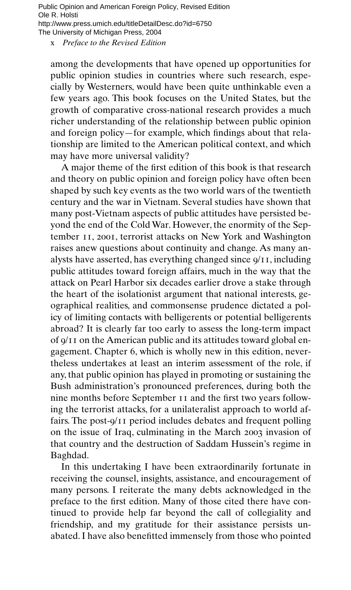Public Opinion and American Foreign Policy, Revised Edition Ole R. Holsti http://www.press.umich.edu/titleDetailDesc.do?id=6750 The University of Michigan Press, 2004

x *Preface to the Revised Edition*

among the developments that have opened up opportunities for public opinion studies in countries where such research, especially by Westerners, would have been quite unthinkable even a few years ago. This book focuses on the United States, but the growth of comparative cross-national research provides a much richer understanding of the relationship between public opinion and foreign policy—for example, which findings about that relationship are limited to the American political context, and which may have more universal validity?

A major theme of the first edition of this book is that research and theory on public opinion and foreign policy have often been shaped by such key events as the two world wars of the twentieth century and the war in Vietnam. Several studies have shown that many post-Vietnam aspects of public attitudes have persisted beyond the end of the Cold War. However, the enormity of the September 11, 2001, terrorist attacks on New York and Washington raises anew questions about continuity and change. As many analysts have asserted, has everything changed since 9/11, including public attitudes toward foreign affairs, much in the way that the attack on Pearl Harbor six decades earlier drove a stake through the heart of the isolationist argument that national interests, geographical realities, and commonsense prudence dictated a policy of limiting contacts with belligerents or potential belligerents abroad? It is clearly far too early to assess the long-term impact of 9/11 on the American public and its attitudes toward global engagement. Chapter 6, which is wholly new in this edition, nevertheless undertakes at least an interim assessment of the role, if any, that public opinion has played in promoting or sustaining the Bush administration's pronounced preferences, during both the nine months before September 11 and the first two years following the terrorist attacks, for a unilateralist approach to world affairs. The post-9/11 period includes debates and frequent polling on the issue of Iraq, culminating in the March 2003 invasion of that country and the destruction of Saddam Hussein's regime in Baghdad.

In this undertaking I have been extraordinarily fortunate in receiving the counsel, insights, assistance, and encouragement of many persons. I reiterate the many debts acknowledged in the preface to the first edition. Many of those cited there have continued to provide help far beyond the call of collegiality and friendship, and my gratitude for their assistance persists unabated. I have also benefitted immensely from those who pointed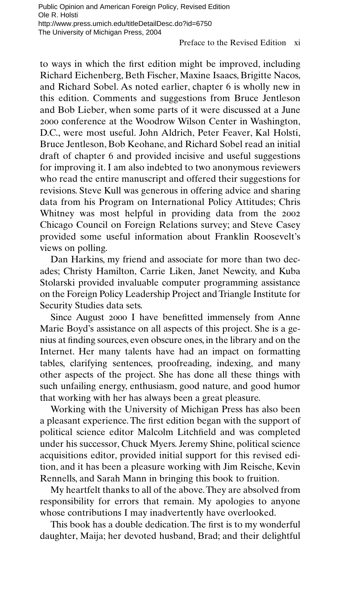Public Opinion and American Foreign Policy, Revised Edition Ole R. Holsti http://www.press.umich.edu/titleDetailDesc.do?id=6750 The University of Michigan Press, 2004

to ways in which the first edition might be improved, including Richard Eichenberg, Beth Fischer, Maxine Isaacs, Brigitte Nacos, and Richard Sobel. As noted earlier, chapter 6 is wholly new in this edition. Comments and suggestions from Bruce Jentleson and Bob Lieber, when some parts of it were discussed at a June 2000 conference at the Woodrow Wilson Center in Washington, D.C., were most useful. John Aldrich, Peter Feaver, Kal Holsti, Bruce Jentleson, Bob Keohane, and Richard Sobel read an initial draft of chapter 6 and provided incisive and useful suggestions for improving it. I am also indebted to two anonymous reviewers who read the entire manuscript and offered their suggestions for revisions. Steve Kull was generous in offering advice and sharing data from his Program on International Policy Attitudes; Chris Whitney was most helpful in providing data from the 2002 Chicago Council on Foreign Relations survey; and Steve Casey provided some useful information about Franklin Roosevelt's views on polling.

Dan Harkins, my friend and associate for more than two decades; Christy Hamilton, Carrie Liken, Janet Newcity, and Kuba Stolarski provided invaluable computer programming assistance on the Foreign Policy Leadership Project and Triangle Institute for Security Studies data sets.

Since August 2000 I have benefitted immensely from Anne Marie Boyd's assistance on all aspects of this project. She is a genius at finding sources, even obscure ones, in the library and on the Internet. Her many talents have had an impact on formatting tables, clarifying sentences, proofreading, indexing, and many other aspects of the project. She has done all these things with such unfailing energy, enthusiasm, good nature, and good humor that working with her has always been a great pleasure.

Working with the University of Michigan Press has also been a pleasant experience. The first edition began with the support of political science editor Malcolm Litchfield and was completed under his successor, Chuck Myers. Jeremy Shine, political science acquisitions editor, provided initial support for this revised edition, and it has been a pleasure working with Jim Reische, Kevin Rennells, and Sarah Mann in bringing this book to fruition.

My heartfelt thanks to all of the above.They are absolved from responsibility for errors that remain. My apologies to anyone whose contributions I may inadvertently have overlooked.

This book has a double dedication. The first is to my wonderful daughter, Maija; her devoted husband, Brad; and their delightful